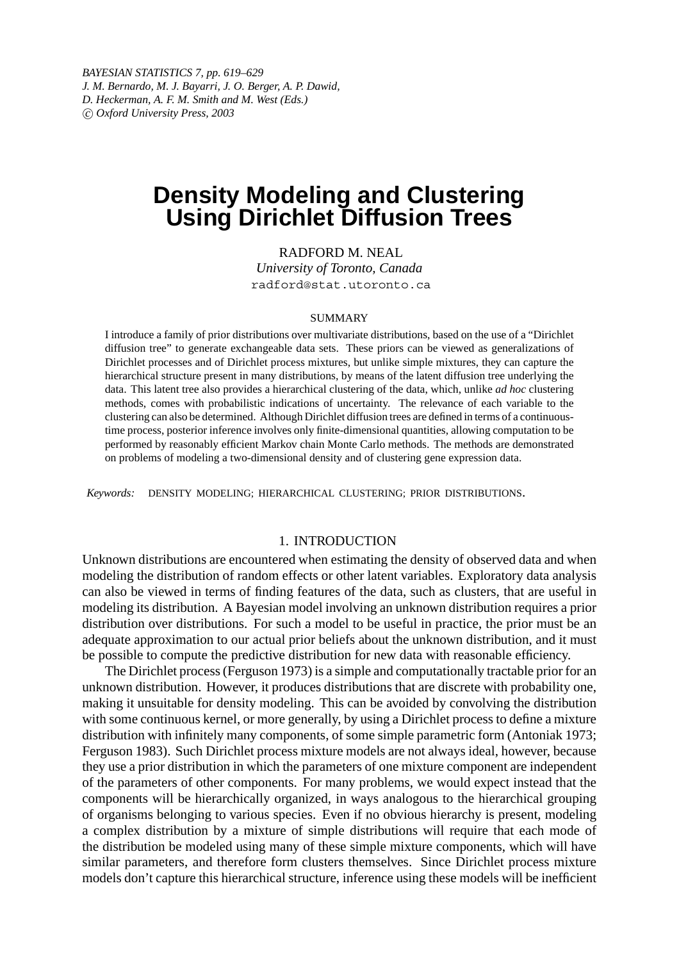*BAYESIAN STATISTICS 7, pp. 619–629 J. M. Bernardo, M. J. Bayarri, J. O. Berger, A. P. Dawid, D. Heckerman, A. F. M. Smith and M. West (Eds.) c Oxford University Press, 2003*

# **Density Modeling and Clustering Using Dirichlet Diffusion Trees**

RADFORD M. NEAL

*University of Toronto, Canada* radford@stat.utoronto.ca

#### SUMMARY

I introduce a family of prior distributions over multivariate distributions, based on the use of a "Dirichlet diffusion tree" to generate exchangeable data sets. These priors can be viewed as generalizations of Dirichlet processes and of Dirichlet process mixtures, but unlike simple mixtures, they can capture the hierarchical structure present in many distributions, by means of the latent diffusion tree underlying the data. This latent tree also provides a hierarchical clustering of the data, which, unlike *ad hoc* clustering methods, comes with probabilistic indications of uncertainty. The relevance of each variable to the clustering can also be determined. Although Dirichlet diffusion trees are defined in terms of a continuoustime process, posterior inference involves only finite-dimensional quantities, allowing computation to be performed by reasonably efficient Markov chain Monte Carlo methods. The methods are demonstrated on problems of modeling a two-dimensional density and of clustering gene expression data.

*Keywords:* DENSITY MODELING; HIERARCHICAL CLUSTERING; PRIOR DISTRIBUTIONS.

# 1. INTRODUCTION

Unknown distributions are encountered when estimating the density of observed data and when modeling the distribution of random effects or other latent variables. Exploratory data analysis can also be viewed in terms of finding features of the data, such as clusters, that are useful in modeling its distribution. A Bayesian model involving an unknown distribution requires a prior distribution over distributions. For such a model to be useful in practice, the prior must be an adequate approximation to our actual prior beliefs about the unknown distribution, and it must be possible to compute the predictive distribution for new data with reasonable efficiency.

The Dirichlet process (Ferguson 1973) is a simple and computationally tractable prior for an unknown distribution. However, it produces distributions that are discrete with probability one, making it unsuitable for density modeling. This can be avoided by convolving the distribution with some continuous kernel, or more generally, by using a Dirichlet process to define a mixture distribution with infinitely many components, of some simple parametric form (Antoniak 1973; Ferguson 1983). Such Dirichlet process mixture models are not always ideal, however, because they use a prior distribution in which the parameters of one mixture component are independent of the parameters of other components. For many problems, we would expect instead that the components will be hierarchically organized, in ways analogous to the hierarchical grouping of organisms belonging to various species. Even if no obvious hierarchy is present, modeling a complex distribution by a mixture of simple distributions will require that each mode of the distribution be modeled using many of these simple mixture components, which will have similar parameters, and therefore form clusters themselves. Since Dirichlet process mixture models don't capture this hierarchical structure, inference using these models will be inefficient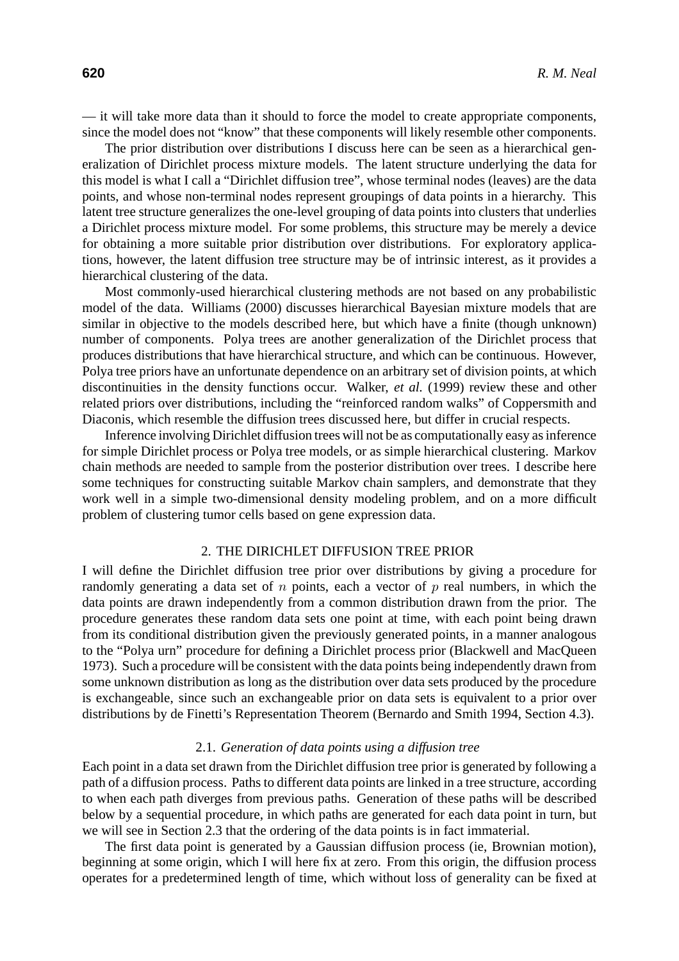— it will take more data than it should to force the model to create appropriate components, since the model does not "know" that these components will likely resemble other components.

The prior distribution over distributions I discuss here can be seen as a hierarchical generalization of Dirichlet process mixture models. The latent structure underlying the data for this model is what I call a "Dirichlet diffusion tree", whose terminal nodes (leaves) are the data points, and whose non-terminal nodes represent groupings of data points in a hierarchy. This latent tree structure generalizes the one-level grouping of data points into clusters that underlies a Dirichlet process mixture model. For some problems, this structure may be merely a device for obtaining a more suitable prior distribution over distributions. For exploratory applications, however, the latent diffusion tree structure may be of intrinsic interest, as it provides a hierarchical clustering of the data.

Most commonly-used hierarchical clustering methods are not based on any probabilistic model of the data. Williams (2000) discusses hierarchical Bayesian mixture models that are similar in objective to the models described here, but which have a finite (though unknown) number of components. Polya trees are another generalization of the Dirichlet process that produces distributions that have hierarchical structure, and which can be continuous. However, Polya tree priors have an unfortunate dependence on an arbitrary set of division points, at which discontinuities in the density functions occur. Walker, *et al.* (1999) review these and other related priors over distributions, including the "reinforced random walks" of Coppersmith and Diaconis, which resemble the diffusion trees discussed here, but differ in crucial respects.

Inference involving Dirichlet diffusion trees will not be as computationally easy as inference for simple Dirichlet process or Polya tree models, or as simple hierarchical clustering. Markov chain methods are needed to sample from the posterior distribution over trees. I describe here some techniques for constructing suitable Markov chain samplers, and demonstrate that they work well in a simple two-dimensional density modeling problem, and on a more difficult problem of clustering tumor cells based on gene expression data.

# 2. THE DIRICHLET DIFFUSION TREE PRIOR

I will define the Dirichlet diffusion tree prior over distributions by giving a procedure for randomly generating a data set of  $n$  points, each a vector of  $p$  real numbers, in which the data points are drawn independently from a common distribution drawn from the prior. The procedure generates these random data sets one point at time, with each point being drawn from its conditional distribution given the previously generated points, in a manner analogous to the "Polya urn" procedure for defining a Dirichlet process prior (Blackwell and MacQueen 1973). Such a procedure will be consistent with the data points being independently drawn from some unknown distribution as long as the distribution over data sets produced by the procedure is exchangeable, since such an exchangeable prior on data sets is equivalent to a prior over distributions by de Finetti's Representation Theorem (Bernardo and Smith 1994, Section 4.3).

# 2.1. *Generation of data points using a diffusion tree*

Each point in a data set drawn from the Dirichlet diffusion tree prior is generated by following a path of a diffusion process. Paths to different data points are linked in a tree structure, according to when each path diverges from previous paths. Generation of these paths will be described below by a sequential procedure, in which paths are generated for each data point in turn, but we will see in Section 2.3 that the ordering of the data points is in fact immaterial.

The first data point is generated by a Gaussian diffusion process (ie, Brownian motion), beginning at some origin, which I will here fix at zero. From this origin, the diffusion process operates for a predetermined length of time, which without loss of generality can be fixed at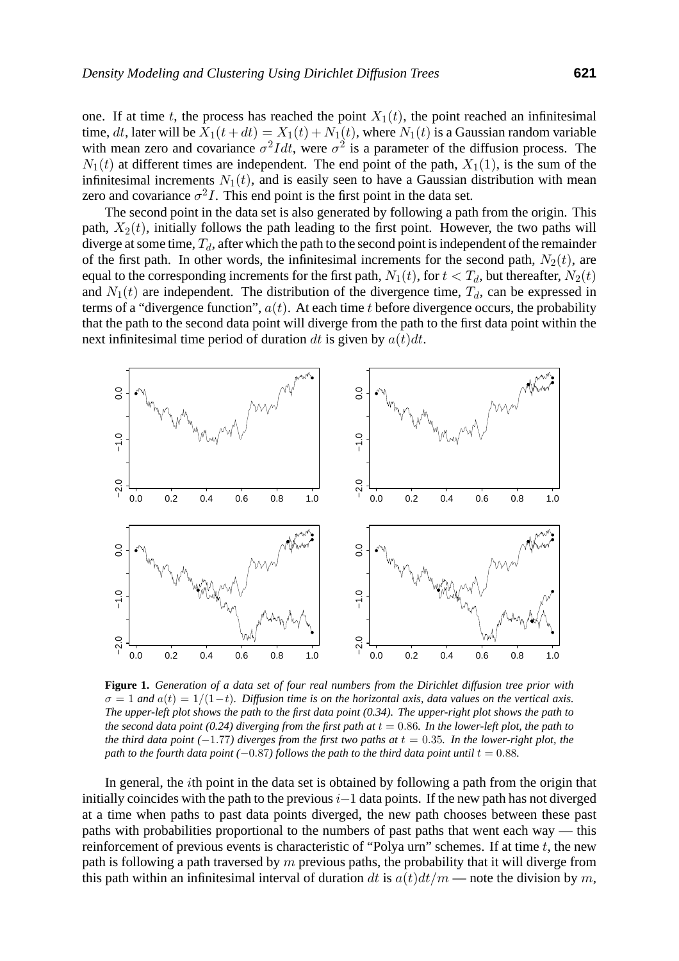one. If at time t, the process has reached the point  $X_1(t)$ , the point reached an infinitesimal time, dt, later will be  $X_1(t + dt) = X_1(t) + N_1(t)$ , where  $N_1(t)$  is a Gaussian random variable with mean zero and covariance  $\sigma^2 I dt$ , were  $\sigma^2$  is a parameter of the diffusion process. The  $N_1(t)$  at different times are independent. The end point of the path,  $X_1(1)$ , is the sum of the infinitesimal increments  $N_1(t)$ , and is easily seen to have a Gaussian distribution with mean zero and covariance  $\sigma^2 I$ . This end point is the first point in the data set.

The second point in the data set is also generated by following a path from the origin. This path,  $X_2(t)$ , initially follows the path leading to the first point. However, the two paths will diverge at some time,  $T_d$ , after which the path to the second point is independent of the remainder of the first path. In other words, the infinitesimal increments for the second path,  $N_2(t)$ , are equal to the corresponding increments for the first path,  $N_1(t)$ , for  $t < T_d$ , but thereafter,  $N_2(t)$ and  $N_1(t)$  are independent. The distribution of the divergence time,  $T_d$ , can be expressed in terms of a "divergence function",  $a(t)$ . At each time t before divergence occurs, the probability that the path to the second data point will diverge from the path to the first data point within the next infinitesimal time period of duration dt is given by  $a(t)dt$ .



**Figure 1.** *Generation of a data set of four real numbers from the Dirichlet diffusion tree prior with*  $\sigma = 1$  and  $a(t) = 1/(1-t)$ *. Diffusion time is on the horizontal axis, data values on the vertical axis. The upper-left plot shows the path to the first data point (0.34). The upper-right plot shows the path to the second data point (0.24) diverging from the first path at*  $t = 0.86$ *. In the lower-left plot, the path to the third data point* ( $-1.77$ *) diverges from the first two paths at*  $t = 0.35$ *. In the lower-right plot, the path to the fourth data point (*−0.87*)* follows the path to the third data point until  $t = 0.88$ .

In general, the ith point in the data set is obtained by following a path from the origin that initially coincides with the path to the previous  $i-1$  data points. If the new path has not diverged at a time when paths to past data points diverged, the new path chooses between these past paths with probabilities proportional to the numbers of past paths that went each way — this reinforcement of previous events is characteristic of "Polya urn" schemes. If at time  $t$ , the new path is following a path traversed by  $m$  previous paths, the probability that it will diverge from this path within an infinitesimal interval of duration dt is  $a(t)dt/m$  — note the division by m,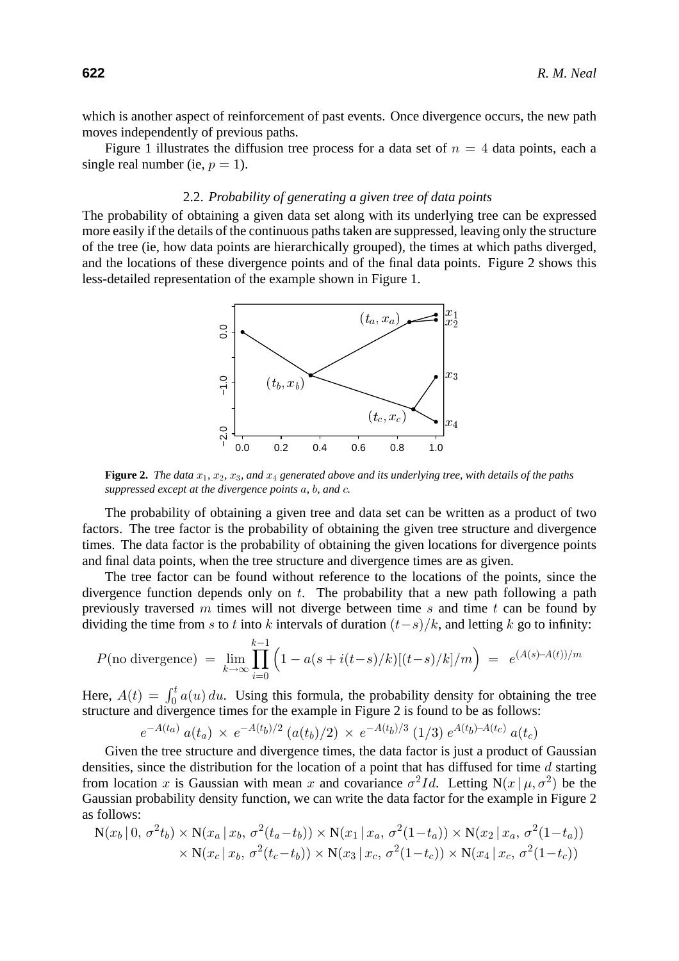which is another aspect of reinforcement of past events. Once divergence occurs, the new path moves independently of previous paths.

Figure 1 illustrates the diffusion tree process for a data set of  $n = 4$  data points, each a single real number (ie,  $p = 1$ ).

# 2.2. *Probability of generating a given tree of data points*

The probability of obtaining a given data set along with its underlying tree can be expressed more easily if the details of the continuous paths taken are suppressed, leaving only the structure of the tree (ie, how data points are hierarchically grouped), the times at which paths diverged, and the locations of these divergence points and of the final data points. Figure 2 shows this less-detailed representation of the example shown in Figure 1.



**Figure 2.** *The data*  $x_1$ ,  $x_2$ ,  $x_3$ , and  $x_4$  generated above and its underlying tree, with details of the paths *suppressed except at the divergence points* a*,* b*, and* c*.*

The probability of obtaining a given tree and data set can be written as a product of two factors. The tree factor is the probability of obtaining the given tree structure and divergence times. The data factor is the probability of obtaining the given locations for divergence points and final data points, when the tree structure and divergence times are as given.

The tree factor can be found without reference to the locations of the points, since the divergence function depends only on  $t$ . The probability that a new path following a path previously traversed m times will not diverge between time s and time t can be found by dividing the time from s to t into k intervals of duration  $(t-s)/k$ , and letting k go to infinity:

$$
P(\text{no divergence}) = \lim_{k \to \infty} \prod_{i=0}^{k-1} \left( 1 - a(s + i(t-s)/k) [(t-s)/k]/m \right) = e^{(A(s) - A(t))/m}
$$

Here,  $A(t) = \int_0^t a(u) du$ . Using this formula, the probability density for obtaining the tree structure and divergence times for the example in Figure 2 is found to be as follows:

$$
e^{-A(t_a)} a(t_a) \times e^{-A(t_b)/2} (a(t_b)/2) \times e^{-A(t_b)/3} (1/3) e^{A(t_b)-A(t_c)} a(t_c)
$$

Given the tree structure and divergence times, the data factor is just a product of Gaussian densities, since the distribution for the location of a point that has diffused for time  $d$  starting from location x is Gaussian with mean x and covariance  $\sigma^2 Id$ . Letting N(x |  $\mu$ ,  $\sigma^2$ ) be the Gaussian probability density function, we can write the data factor for the example in Figure 2 as follows:

$$
N(x_b | 0, \sigma^2 t_b) \times N(x_a | x_b, \sigma^2(t_a - t_b)) \times N(x_1 | x_a, \sigma^2(1 - t_a)) \times N(x_2 | x_a, \sigma^2(1 - t_a))
$$
  
 
$$
\times N(x_c | x_b, \sigma^2(t_c - t_b)) \times N(x_3 | x_c, \sigma^2(1 - t_c)) \times N(x_4 | x_c, \sigma^2(1 - t_c))
$$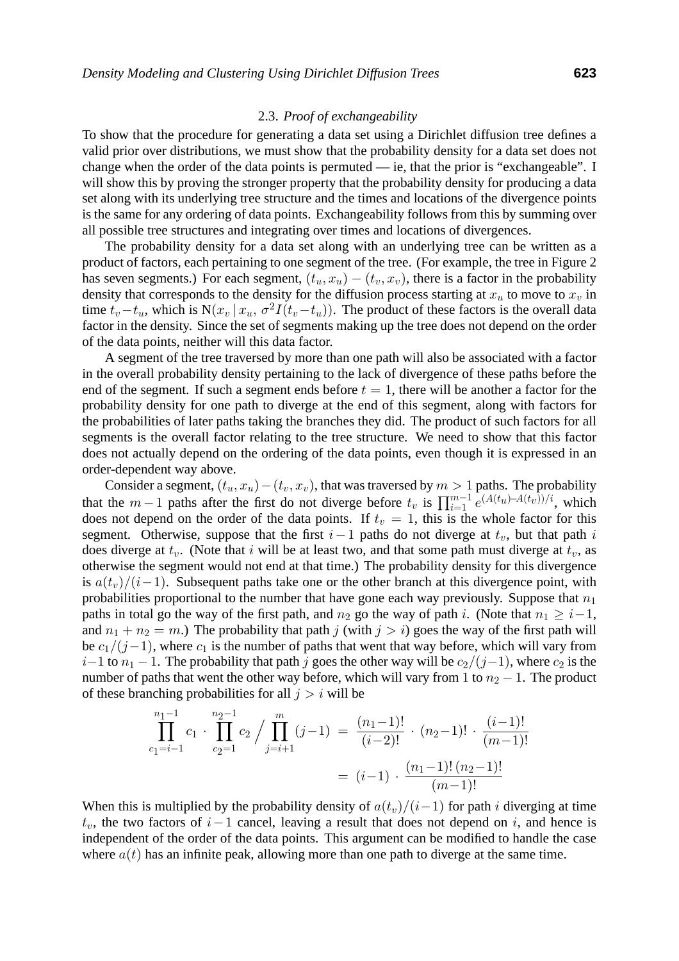# 2.3. *Proof of exchangeability*

To show that the procedure for generating a data set using a Dirichlet diffusion tree defines a valid prior over distributions, we must show that the probability density for a data set does not change when the order of the data points is permuted — ie, that the prior is "exchangeable". I will show this by proving the stronger property that the probability density for producing a data set along with its underlying tree structure and the times and locations of the divergence points is the same for any ordering of data points. Exchangeability follows from this by summing over all possible tree structures and integrating over times and locations of divergences.

The probability density for a data set along with an underlying tree can be written as a product of factors, each pertaining to one segment of the tree. (For example, the tree in Figure 2 has seven segments.) For each segment,  $(t_u, x_u) - (t_v, x_v)$ , there is a factor in the probability density that corresponds to the density for the diffusion process starting at  $x_u$  to move to  $x_v$  in time  $t_v-t_u$ , which is N( $x_v | x_u$ ,  $\sigma^2 I(t_v-t_u)$ ). The product of these factors is the overall data factor in the density. Since the set of segments making up the tree does not depend on the order of the data points, neither will this data factor.

A segment of the tree traversed by more than one path will also be associated with a factor in the overall probability density pertaining to the lack of divergence of these paths before the end of the segment. If such a segment ends before  $t = 1$ , there will be another a factor for the probability density for one path to diverge at the end of this segment, along with factors for the probabilities of later paths taking the branches they did. The product of such factors for all segments is the overall factor relating to the tree structure. We need to show that this factor does not actually depend on the ordering of the data points, even though it is expressed in an order-dependent way above.

Consider a segment,  $(t_u, x_u) - (t_v, x_v)$ , that was traversed by  $m > 1$  paths. The probability that the  $m-1$  paths after the first do not diverge before  $t_v$  is  $\prod_{i=1}^{m-1} e^{(A(t_u)-A(t_v))/i}$ , which does not depend on the order of the data points. If  $t_v = 1$ , this is the whole factor for this segment. Otherwise, suppose that the first  $i-1$  paths do not diverge at  $t<sub>v</sub>$ , but that path i does diverge at  $t_v$ . (Note that i will be at least two, and that some path must diverge at  $t_v$ , as otherwise the segment would not end at that time.) The probability density for this divergence is  $a(t_v)/(i-1)$ . Subsequent paths take one or the other branch at this divergence point, with probabilities proportional to the number that have gone each way previously. Suppose that  $n_1$ paths in total go the way of the first path, and  $n_2$  go the way of path i. (Note that  $n_1 \geq i-1$ , and  $n_1 + n_2 = m$ .) The probability that path j (with  $j>i$ ) goes the way of the first path will be  $c_1/(j-1)$ , where  $c_1$  is the number of paths that went that way before, which will vary from  $i-1$  to  $n_1-1$ . The probability that path j goes the other way will be  $c_2/(j-1)$ , where  $c_2$  is the number of paths that went the other way before, which will vary from 1 to  $n_2 - 1$ . The product of these branching probabilities for all  $j>i$  will be

$$
\prod_{c_1=i-1}^{n_1-1} c_1 \cdot \prod_{c_2=1}^{n_2-1} c_2 \Big/ \prod_{j=i+1}^m (j-1) = \frac{(n_1-1)!}{(i-2)!} \cdot (n_2-1)! \cdot \frac{(i-1)!}{(m-1)!}
$$

$$
= (i-1) \cdot \frac{(n_1-1)!(n_2-1)!}{(m-1)!}
$$

When this is multiplied by the probability density of  $a(t_v)/(i-1)$  for path i diverging at time  $t_v$ , the two factors of  $i-1$  cancel, leaving a result that does not depend on i, and hence is independent of the order of the data points. This argument can be modified to handle the case where  $a(t)$  has an infinite peak, allowing more than one path to diverge at the same time.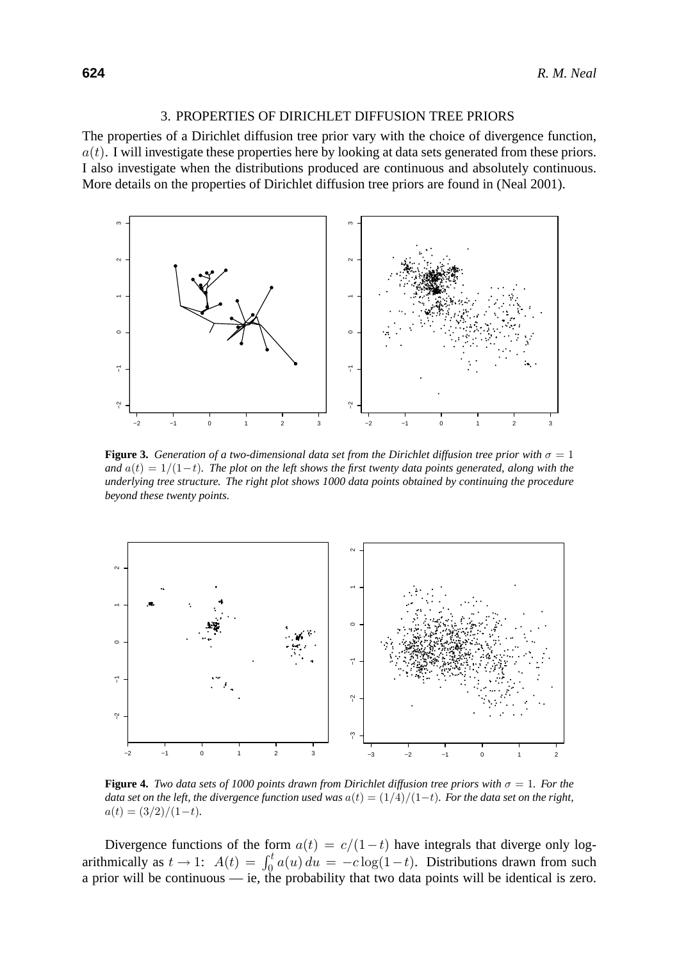#### 3. PROPERTIES OF DIRICHLET DIFFUSION TREE PRIORS

The properties of a Dirichlet diffusion tree prior vary with the choice of divergence function,  $a(t)$ . I will investigate these properties here by looking at data sets generated from these priors. I also investigate when the distributions produced are continuous and absolutely continuous. More details on the properties of Dirichlet diffusion tree priors are found in (Neal 2001).



**Figure 3.** *Generation of a two-dimensional data set from the Dirichlet diffusion tree prior with*  $\sigma = 1$ *and*  $a(t)=1/(1-t)$ *. The plot on the left shows the first twenty data points generated, along with the underlying tree structure. The right plot shows 1000 data points obtained by continuing the procedure beyond these twenty points.*



**Figure 4.** *Two data sets of 1000 points drawn from Dirichlet diffusion tree priors with*  $\sigma = 1$ *. For the data set on the left, the divergence function used was* a(t) = (1/4)/(1−t)*. For the data set on the right,*  $a(t) = \frac{3}{2}\cdot\frac{1}{1-t}$ .

Divergence functions of the form  $a(t) = c/(1-t)$  have integrals that diverge only logarithmically as  $t \to 1$ :  $A(t) = \int_0^t a(u) du = -c \log(1-t)$ . Distributions drawn from such a prior will be continuous — ie, the probability that two data points will be identical is zero.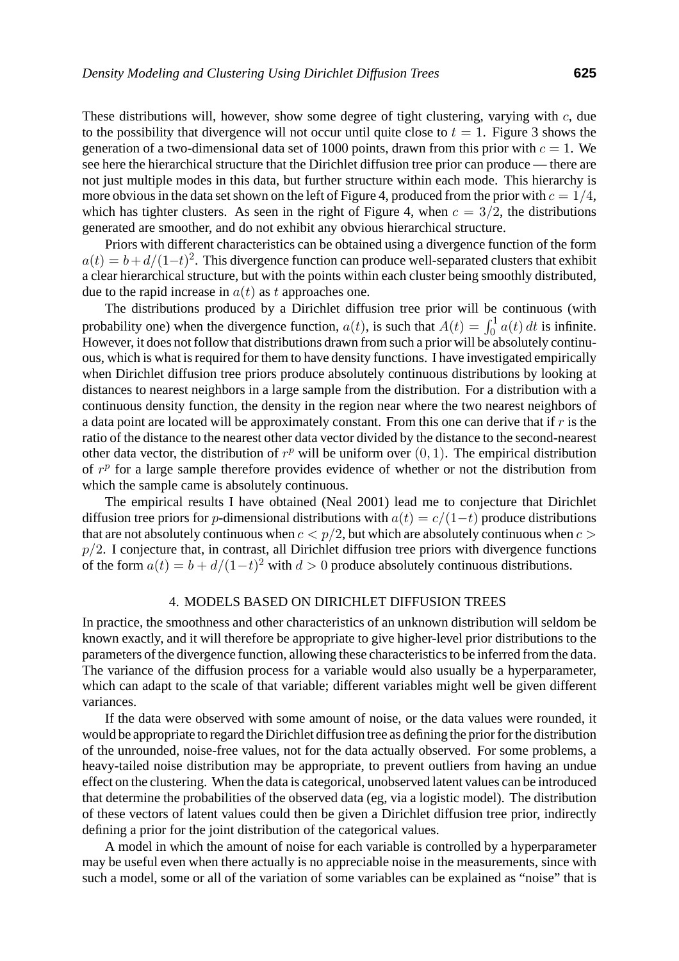These distributions will, however, show some degree of tight clustering, varying with  $c$ , due to the possibility that divergence will not occur until quite close to  $t = 1$ . Figure 3 shows the generation of a two-dimensional data set of 1000 points, drawn from this prior with  $c = 1$ . We see here the hierarchical structure that the Dirichlet diffusion tree prior can produce — there are not just multiple modes in this data, but further structure within each mode. This hierarchy is more obvious in the data set shown on the left of Figure 4, produced from the prior with  $c = 1/4$ , which has tighter clusters. As seen in the right of Figure 4, when  $c = 3/2$ , the distributions generated are smoother, and do not exhibit any obvious hierarchical structure.

Priors with different characteristics can be obtained using a divergence function of the form  $a(t) = b + d/(1-t)^2$ . This divergence function can produce well-separated clusters that exhibit a clear hierarchical structure, but with the points within each cluster being smoothly distributed, due to the rapid increase in  $a(t)$  as t approaches one.

The distributions produced by a Dirichlet diffusion tree prior will be continuous (with probability one) when the divergence function,  $a(t)$ , is such that  $A(t) = \int_0^1 a(t) dt$  is infinite. However, it does not follow that distributions drawn from such a prior will be absolutely continuous, which is what is required for them to have density functions. I have investigated empirically when Dirichlet diffusion tree priors produce absolutely continuous distributions by looking at distances to nearest neighbors in a large sample from the distribution. For a distribution with a continuous density function, the density in the region near where the two nearest neighbors of a data point are located will be approximately constant. From this one can derive that if  $r$  is the ratio of the distance to the nearest other data vector divided by the distance to the second-nearest other data vector, the distribution of  $r^p$  will be uniform over  $(0, 1)$ . The empirical distribution of  $r^p$  for a large sample therefore provides evidence of whether or not the distribution from which the sample came is absolutely continuous.

The empirical results I have obtained (Neal 2001) lead me to conjecture that Dirichlet diffusion tree priors for p-dimensional distributions with  $a(t) = c/(1-t)$  produce distributions that are not absolutely continuous when  $c < p/2$ , but which are absolutely continuous when  $c >$  $p/2$ . I conjecture that, in contrast, all Dirichlet diffusion tree priors with divergence functions of the form  $a(t) = b + d/(1-t)^2$  with  $d > 0$  produce absolutely continuous distributions.

### 4. MODELS BASED ON DIRICHLET DIFFUSION TREES

In practice, the smoothness and other characteristics of an unknown distribution will seldom be known exactly, and it will therefore be appropriate to give higher-level prior distributions to the parameters of the divergence function, allowing these characteristics to be inferred from the data. The variance of the diffusion process for a variable would also usually be a hyperparameter, which can adapt to the scale of that variable; different variables might well be given different variances.

If the data were observed with some amount of noise, or the data values were rounded, it would be appropriate to regard the Dirichlet diffusion tree as defining the prior for the distribution of the unrounded, noise-free values, not for the data actually observed. For some problems, a heavy-tailed noise distribution may be appropriate, to prevent outliers from having an undue effect on the clustering. When the data is categorical, unobserved latent values can be introduced that determine the probabilities of the observed data (eg, via a logistic model). The distribution of these vectors of latent values could then be given a Dirichlet diffusion tree prior, indirectly defining a prior for the joint distribution of the categorical values.

A model in which the amount of noise for each variable is controlled by a hyperparameter may be useful even when there actually is no appreciable noise in the measurements, since with such a model, some or all of the variation of some variables can be explained as "noise" that is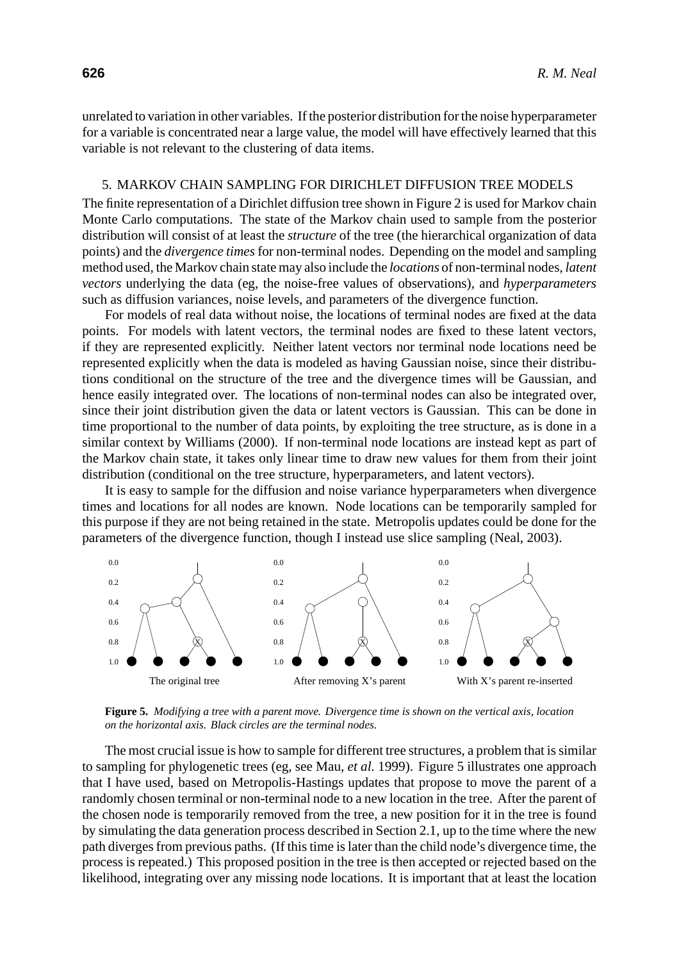unrelated to variation in other variables. If the posterior distribution for the noise hyperparameter for a variable is concentrated near a large value, the model will have effectively learned that this variable is not relevant to the clustering of data items.

# 5. MARKOV CHAIN SAMPLING FOR DIRICHLET DIFFUSION TREE MODELS

The finite representation of a Dirichlet diffusion tree shown in Figure 2 is used for Markov chain Monte Carlo computations. The state of the Markov chain used to sample from the posterior distribution will consist of at least the *structure* of the tree (the hierarchical organization of data points) and the *divergence times*for non-terminal nodes. Depending on the model and sampling method used, the Markov chain state may also include the *locations* of non-terminal nodes, *latent vectors* underlying the data (eg, the noise-free values of observations), and *hyperparameters* such as diffusion variances, noise levels, and parameters of the divergence function.

For models of real data without noise, the locations of terminal nodes are fixed at the data points. For models with latent vectors, the terminal nodes are fixed to these latent vectors, if they are represented explicitly. Neither latent vectors nor terminal node locations need be represented explicitly when the data is modeled as having Gaussian noise, since their distributions conditional on the structure of the tree and the divergence times will be Gaussian, and hence easily integrated over. The locations of non-terminal nodes can also be integrated over, since their joint distribution given the data or latent vectors is Gaussian. This can be done in time proportional to the number of data points, by exploiting the tree structure, as is done in a similar context by Williams (2000). If non-terminal node locations are instead kept as part of the Markov chain state, it takes only linear time to draw new values for them from their joint distribution (conditional on the tree structure, hyperparameters, and latent vectors).

It is easy to sample for the diffusion and noise variance hyperparameters when divergence times and locations for all nodes are known. Node locations can be temporarily sampled for this purpose if they are not being retained in the state. Metropolis updates could be done for the parameters of the divergence function, though I instead use slice sampling (Neal, 2003).



**Figure 5.** *Modifying a tree with a parent move. Divergence time is shown on the vertical axis, location on the horizontal axis. Black circles are the terminal nodes.*

The most crucial issue is how to sample for different tree structures, a problem that is similar to sampling for phylogenetic trees (eg, see Mau, *et al.* 1999). Figure 5 illustrates one approach that I have used, based on Metropolis-Hastings updates that propose to move the parent of a randomly chosen terminal or non-terminal node to a new location in the tree. After the parent of the chosen node is temporarily removed from the tree, a new position for it in the tree is found by simulating the data generation process described in Section 2.1, up to the time where the new path diverges from previous paths. (If this time is later than the child node's divergence time, the process is repeated.) This proposed position in the tree is then accepted or rejected based on the likelihood, integrating over any missing node locations. It is important that at least the location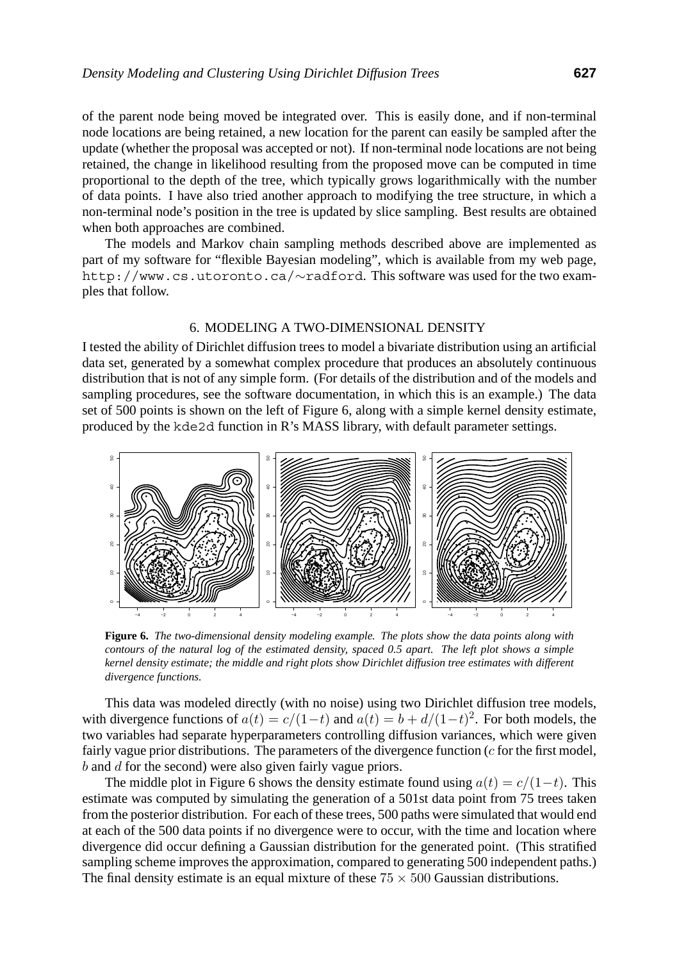of the parent node being moved be integrated over. This is easily done, and if non-terminal node locations are being retained, a new location for the parent can easily be sampled after the update (whether the proposal was accepted or not). If non-terminal node locations are not being retained, the change in likelihood resulting from the proposed move can be computed in time proportional to the depth of the tree, which typically grows logarithmically with the number of data points. I have also tried another approach to modifying the tree structure, in which a non-terminal node's position in the tree is updated by slice sampling. Best results are obtained when both approaches are combined.

The models and Markov chain sampling methods described above are implemented as part of my software for "flexible Bayesian modeling", which is available from my web page, http://www.cs.utoronto.ca/∼radford. This software was used for the two examples that follow.

# 6. MODELING A TWO-DIMENSIONAL DENSITY

I tested the ability of Dirichlet diffusion trees to model a bivariate distribution using an artificial data set, generated by a somewhat complex procedure that produces an absolutely continuous distribution that is not of any simple form. (For details of the distribution and of the models and sampling procedures, see the software documentation, in which this is an example.) The data set of 500 points is shown on the left of Figure 6, along with a simple kernel density estimate, produced by the kde2d function in R's MASS library, with default parameter settings.



**Figure 6.** *The two-dimensional density modeling example. The plots show the data points along with contours of the natural log of the estimated density, spaced 0.5 apart. The left plot shows a simple kernel density estimate; the middle and right plots show Dirichlet diffusion tree estimates with different divergence functions.*

This data was modeled directly (with no noise) using two Dirichlet diffusion tree models, with divergence functions of  $a(t) = c/(1-t)$  and  $a(t) = b + d/(1-t)^2$ . For both models, the two variables had separate hyperparameters controlling diffusion variances, which were given fairly vague prior distributions. The parameters of the divergence function  $(c$  for the first model, b and d for the second) were also given fairly vague priors.

The middle plot in Figure 6 shows the density estimate found using  $a(t) = c/(1-t)$ . This estimate was computed by simulating the generation of a 501st data point from 75 trees taken from the posterior distribution. For each of these trees, 500 paths were simulated that would end at each of the 500 data points if no divergence were to occur, with the time and location where divergence did occur defining a Gaussian distribution for the generated point. (This stratified sampling scheme improves the approximation, compared to generating 500 independent paths.) The final density estimate is an equal mixture of these  $75 \times 500$  Gaussian distributions.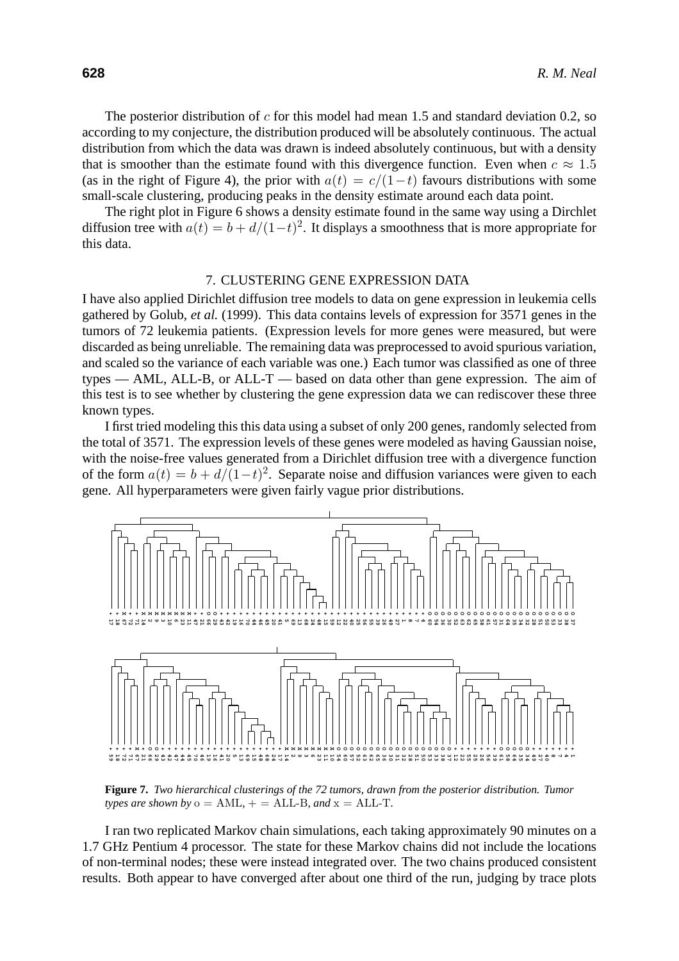The posterior distribution of  $c$  for this model had mean 1.5 and standard deviation 0.2, so according to my conjecture, the distribution produced will be absolutely continuous. The actual distribution from which the data was drawn is indeed absolutely continuous, but with a density that is smoother than the estimate found with this divergence function. Even when  $c \approx 1.5$ (as in the right of Figure 4), the prior with  $a(t) = c/(1-t)$  favours distributions with some small-scale clustering, producing peaks in the density estimate around each data point.

The right plot in Figure 6 shows a density estimate found in the same way using a Dirchlet diffusion tree with  $a(t) = b + d/(1-t)^2$ . It displays a smoothness that is more appropriate for this data.

# 7. CLUSTERING GENE EXPRESSION DATA

I have also applied Dirichlet diffusion tree models to data on gene expression in leukemia cells gathered by Golub, *et al.* (1999). This data contains levels of expression for 3571 genes in the tumors of 72 leukemia patients. (Expression levels for more genes were measured, but were discarded as being unreliable. The remaining data was preprocessed to avoid spurious variation, and scaled so the variance of each variable was one.) Each tumor was classified as one of three types — AML, ALL-B, or ALL-T — based on data other than gene expression. The aim of this test is to see whether by clustering the gene expression data we can rediscover these three known types.

I first tried modeling this this data using a subset of only 200 genes, randomly selected from the total of 3571. The expression levels of these genes were modeled as having Gaussian noise, with the noise-free values generated from a Dirichlet diffusion tree with a divergence function of the form  $a(t) = b + d/(1-t)^2$ . Separate noise and diffusion variances were given to each gene. All hyperparameters were given fairly vague prior distributions.



**Figure 7.** *Two hierarchical clusterings of the 72 tumors, drawn from the posterior distribution. Tumor types are shown by*  $o = AML$ ,  $+ = ALL-B$ *, and*  $x = ALL-T$ *.* 

I ran two replicated Markov chain simulations, each taking approximately 90 minutes on a 1.7 GHz Pentium 4 processor. The state for these Markov chains did not include the locations of non-terminal nodes; these were instead integrated over. The two chains produced consistent results. Both appear to have converged after about one third of the run, judging by trace plots